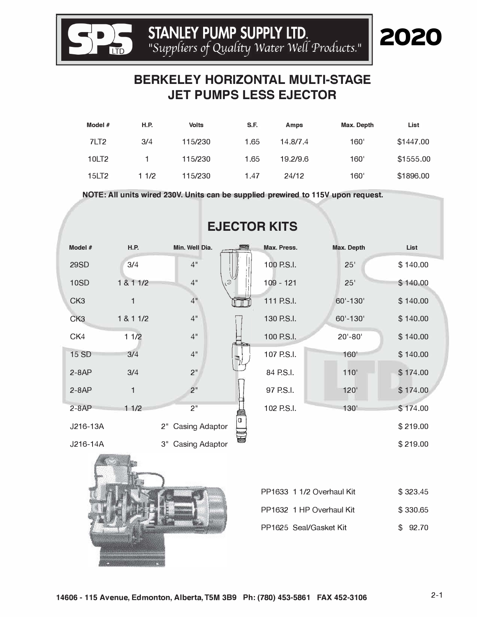**html STANLEY PUMP SUPPLY LTD.** *PLANCEY PUMP SUPPLY LTD. 112* 

**S**

## **BERKELEY HORIZONTAL MULTI-STAGE JET PUMPS LESS EJECTOR**

| Model $#$         | <b>H.P.</b> | <b>Volts</b> | S.F. | Amps     | Max. Depth | List      |
|-------------------|-------------|--------------|------|----------|------------|-----------|
| 7LT <sub>2</sub>  | 3/4         | 115/230      | 1.65 | 14.8/7.4 | 160'       | \$1447.00 |
| 10LT <sub>2</sub> |             | 115/230      | 1.65 | 19.2/9.6 | 160'       | \$1555.00 |
| 15LT2             | 1 1/2       | 115/230      | 1.47 | 24/12    | 160'       | \$1896.00 |

**NOTE: All units wired 230V. Units can be supplied prewired to 115V upon request.** 

| Model #         | <b>H.P.</b>  | Min. Well Dia.              |         | Max. Press. | Max. Depth                | <b>List</b> |
|-----------------|--------------|-----------------------------|---------|-------------|---------------------------|-------------|
| <b>29SD</b>     | 3/4          | 4"                          |         | 100 P.S.I.  | 25'                       | \$140.00    |
| <b>10SD</b>     | 1 & 1 1/2    | 4"                          | $\odot$ | $109 - 121$ | 25'                       | \$140.00    |
| CK <sub>3</sub> | 1            | 4"                          |         | 111 P.S.I.  | 60'-130'                  | \$140.00    |
| CK <sub>3</sub> | 1 & 1 1/2    | 4"                          |         | 130 P.S.I.  | 60'-130'                  | \$140.00    |
| CK4             | 11/2         | 4"                          |         | 100 P.S.I.  | $20' - 80'$               | \$140.00    |
| <b>15 SD</b>    | 3/4          | 4"                          |         | 107 P.S.I.  | 160'                      | \$140.00    |
| $2 - 8AP$       | 3/4          | 2"                          |         | 84 P.S.I.   | 110'                      | \$174.00    |
| $2 - 8AP$       | $\mathbf{1}$ | 2 <sup>''</sup>             |         | 97 P.S.I.   | 120'                      | \$174.00    |
| $2 - 8AP$       | 11/2         | 2 <sup>11</sup>             |         | 102 P.S.I.  | 130 <sup>1</sup>          | \$174.00    |
| J216-13A        |              | <b>Casing Adaptor</b><br>2" | U       |             |                           | \$219.00    |
| J216-14A        |              | 3"<br>Casing Adaptor        |         |             |                           | \$219.00    |
|                 |              |                             |         |             | PP1633 1 1/2 Overhaul Kit | \$323.45    |
|                 |              |                             |         |             |                           |             |

## **EJECTOR KITS**

| PP1633 1 1/2 O |
|----------------|
| PP1632 1 HP O  |
| PP1625 Seal/Ga |
|                |

| PP1633 1 1/2 Overhaul Kit | \$323.45 |
|---------------------------|----------|
| PP1632 1 HP Overhaul Kit  | \$330.65 |
| PP1625 Seal/Gasket Kit    | \$92.70  |

2020